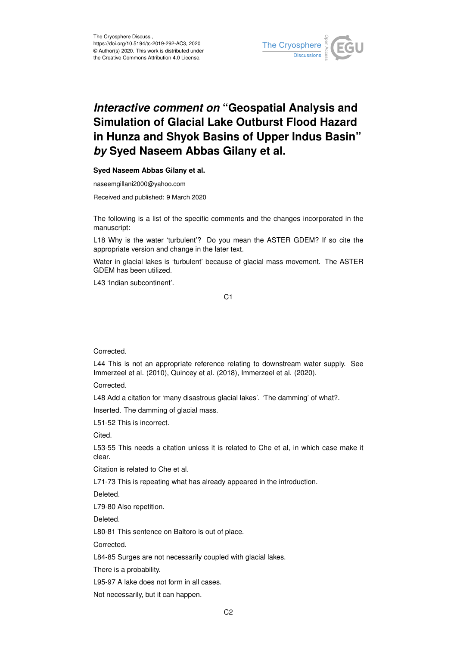

## *Interactive comment on* **"Geospatial Analysis and Simulation of Glacial Lake Outburst Flood Hazard in Hunza and Shyok Basins of Upper Indus Basin"** *by* **Syed Naseem Abbas Gilany et al.**

## **Syed Naseem Abbas Gilany et al.**

naseemgillani2000@yahoo.com

Received and published: 9 March 2020

The following is a list of the specific comments and the changes incorporated in the manuscript:

L18 Why is the water 'turbulent'? Do you mean the ASTER GDEM? If so cite the appropriate version and change in the later text.

Water in glacial lakes is 'turbulent' because of glacial mass movement. The ASTER GDEM has been utilized.

L43 'Indian subcontinent'.

C1

Corrected.

L44 This is not an appropriate reference relating to downstream water supply. See Immerzeel et al. (2010), Quincey et al. (2018), Immerzeel et al. (2020).

Corrected.

L48 Add a citation for 'many disastrous glacial lakes'. 'The damming' of what?.

Inserted. The damming of glacial mass.

L51-52 This is incorrect.

Cited.

L53-55 This needs a citation unless it is related to Che et al, in which case make it clear.

Citation is related to Che et al.

L71-73 This is repeating what has already appeared in the introduction.

Deleted.

L79-80 Also repetition.

Deleted.

L80-81 This sentence on Baltoro is out of place.

Corrected.

L84-85 Surges are not necessarily coupled with glacial lakes.

There is a probability.

L95-97 A lake does not form in all cases.

Not necessarily, but it can happen.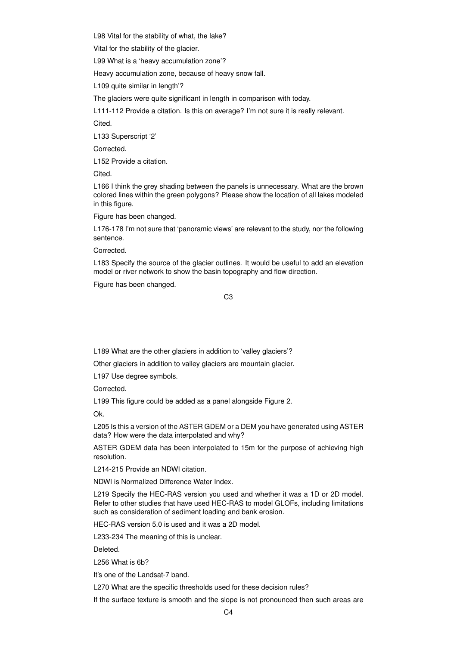L98 Vital for the stability of what, the lake?

Vital for the stability of the glacier.

L99 What is a 'heavy accumulation zone'?

Heavy accumulation zone, because of heavy snow fall.

L109 quite similar in length'?

The glaciers were quite significant in length in comparison with today.

L111-112 Provide a citation. Is this on average? I'm not sure it is really relevant.

Cited.

L133 Superscript '2'

Corrected.

L152 Provide a citation.

Cited.

L166 I think the grey shading between the panels is unnecessary. What are the brown colored lines within the green polygons? Please show the location of all lakes modeled in this figure.

Figure has been changed.

L176-178 I'm not sure that 'panoramic views' are relevant to the study, nor the following sentence.

Corrected.

L183 Specify the source of the glacier outlines. It would be useful to add an elevation model or river network to show the basin topography and flow direction.

Figure has been changed.

C3

L189 What are the other glaciers in addition to 'valley glaciers'?

Other glaciers in addition to valley glaciers are mountain glacier.

L197 Use degree symbols.

Corrected.

L199 This figure could be added as a panel alongside Figure 2.

Ok.

L205 Is this a version of the ASTER GDEM or a DEM you have generated using ASTER data? How were the data interpolated and why?

ASTER GDEM data has been interpolated to 15m for the purpose of achieving high resolution.

L214-215 Provide an NDWI citation.

NDWI is Normalized Difference Water Index.

L219 Specify the HEC-RAS version you used and whether it was a 1D or 2D model. Refer to other studies that have used HEC-RAS to model GLOFs, including limitations such as consideration of sediment loading and bank erosion.

HEC-RAS version 5.0 is used and it was a 2D model.

L233-234 The meaning of this is unclear.

Deleted.

L256 What is 6b?

It's one of the Landsat-7 band.

L270 What are the specific thresholds used for these decision rules?

If the surface texture is smooth and the slope is not pronounced then such areas are